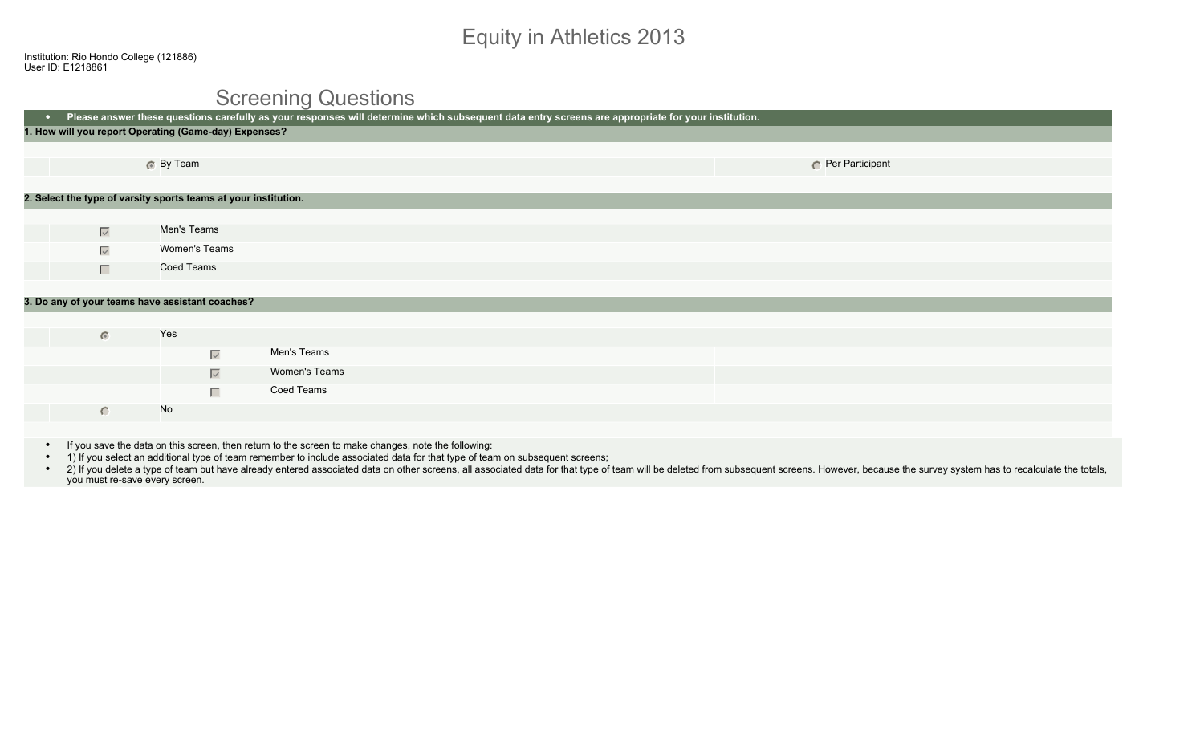# Equity in Athletics 2013

#### Screening Questions

| Please answer these questions carefully as your responses will determine which subsequent data entry screens are appropriate for your institution.<br>$\bullet$ |                     |                                                                 |  |  |                 |  |
|-----------------------------------------------------------------------------------------------------------------------------------------------------------------|---------------------|-----------------------------------------------------------------|--|--|-----------------|--|
| 1. How will you report Operating (Game-day) Expenses?                                                                                                           |                     |                                                                 |  |  |                 |  |
|                                                                                                                                                                 |                     |                                                                 |  |  |                 |  |
|                                                                                                                                                                 | 6 By Team           |                                                                 |  |  | Per Participant |  |
|                                                                                                                                                                 |                     |                                                                 |  |  |                 |  |
|                                                                                                                                                                 |                     | 2. Select the type of varsity sports teams at your institution. |  |  |                 |  |
|                                                                                                                                                                 |                     |                                                                 |  |  |                 |  |
| $\overline{\vee}$                                                                                                                                               | Men's Teams         |                                                                 |  |  |                 |  |
| $\overline{\smile}$                                                                                                                                             | Women's Teams       |                                                                 |  |  |                 |  |
| $\Box$                                                                                                                                                          | Coed Teams          |                                                                 |  |  |                 |  |
|                                                                                                                                                                 |                     |                                                                 |  |  |                 |  |
| 3. Do any of your teams have assistant coaches?                                                                                                                 |                     |                                                                 |  |  |                 |  |
|                                                                                                                                                                 |                     |                                                                 |  |  |                 |  |
| $\bullet$                                                                                                                                                       | Yes                 |                                                                 |  |  |                 |  |
|                                                                                                                                                                 | $\overline{\smile}$ | Men's Teams                                                     |  |  |                 |  |
|                                                                                                                                                                 | $\overline{\vee}$   | Women's Teams                                                   |  |  |                 |  |
|                                                                                                                                                                 |                     | Coed Teams<br>П                                                 |  |  |                 |  |
| $\subset$                                                                                                                                                       | No                  |                                                                 |  |  |                 |  |
|                                                                                                                                                                 |                     |                                                                 |  |  |                 |  |

- If you save the data on this screen, then return to the screen to make changes, note the following:
- 1) If you select an additional type of team remember to include associated data for that type of team on subsequent screens;
- . 2) If you delete a type of team but have already entered associated data on other screens, all associated data for that type of team will be deleted from subsequent screens. However, because the survey system has to reca you must re-save every screen.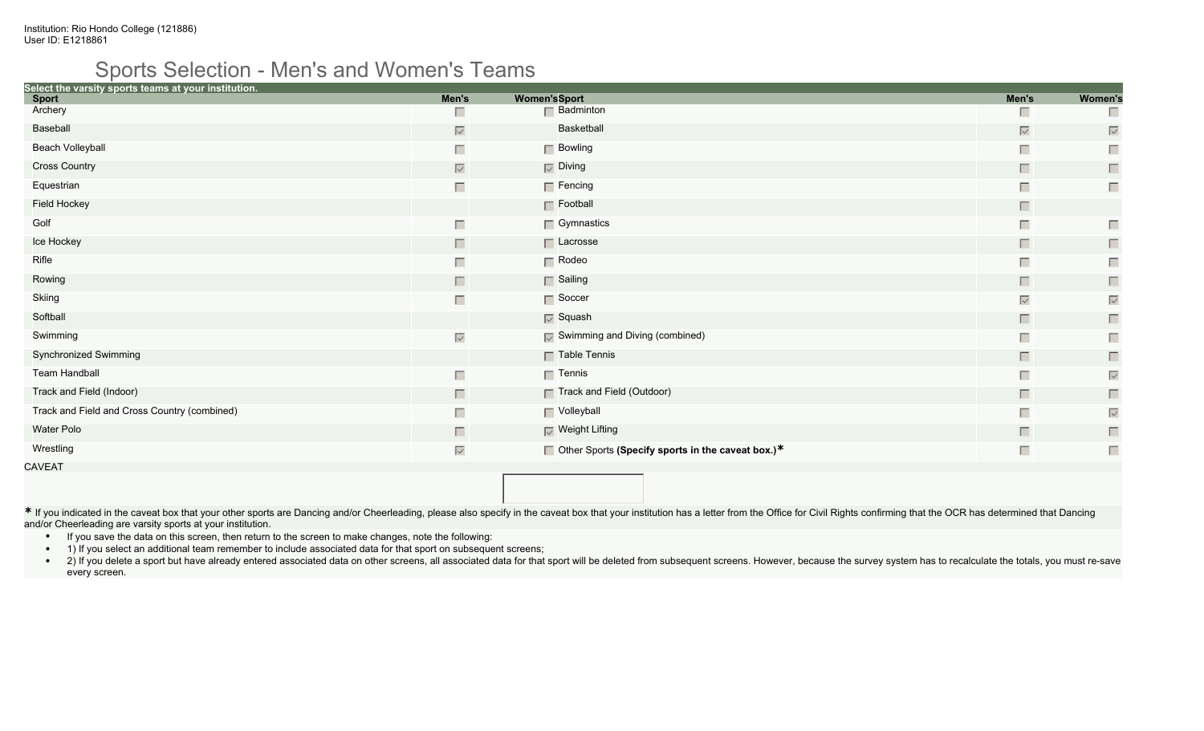#### Sports Selection - Men's and Women's Teams

| Select the varsity sports teams at your institution. |                   |                     |                                                          |                   |                   |
|------------------------------------------------------|-------------------|---------------------|----------------------------------------------------------|-------------------|-------------------|
| <b>Sport</b>                                         | Men's             | <b>Women'sSport</b> |                                                          | Men's             | <b>Women's</b>    |
| Archery                                              | п                 |                     | $\Box$ Badminton                                         | Ш                 | Г                 |
| Baseball                                             | $\overline{\vee}$ |                     | Basketball                                               | $\overline{\vee}$ | $\overline{\vee}$ |
| <b>Beach Volleyball</b>                              |                   |                     | $\Box$ Bowling                                           | Г                 | Г                 |
| <b>Cross Country</b>                                 | $\overline{\vee}$ |                     | $\nabla$ Diving                                          | П                 | П                 |
| Equestrian                                           | Г                 |                     | $\Box$ Fencing                                           | Г                 | $\Box$            |
| Field Hockey                                         |                   |                     | $\Gamma$ Football                                        | П                 |                   |
| Golf                                                 | Г                 |                     | $\Box$ Gymnastics                                        | $\Box$            | Г                 |
| Ice Hockey                                           | Г.                |                     | $\Box$ Lacrosse                                          | П                 | $\Box$            |
| Rifle                                                |                   |                     | $\Gamma$ Rodeo                                           | Г                 | Г                 |
| Rowing                                               | Г                 |                     | Sailing                                                  | П                 | $\Box$            |
| Skiing                                               | Г                 |                     | $\Gamma$ Soccer                                          | $\overline{\vee}$ | $\overline{\vee}$ |
| Softball                                             |                   |                     | $\overline{\vee}$ Squash                                 | П                 | $\Box$            |
| Swimming                                             | $\overline{\vee}$ |                     | $\nabla$ Swimming and Diving (combined)                  | Г                 | Г                 |
| Synchronized Swimming                                |                   |                     | $\Gamma$ Table Tennis                                    | П                 | П                 |
| Team Handball                                        | Г                 |                     | $\Box$ Tennis                                            | Г                 | $\overline{\vee}$ |
| Track and Field (Indoor)                             | Г                 |                     | □ Track and Field (Outdoor)                              | П                 | $\Box$            |
| Track and Field and Cross Country (combined)         |                   |                     | Volleyball                                               | Г                 | $\overline{\vee}$ |
| Water Polo                                           | Г.                |                     | $\nabla$ Weight Lifting                                  | П                 | $\Box$            |
| Wrestling                                            | $\overline{\vee}$ |                     | $\Box$ Other Sports (Specify sports in the caveat box.)* | $\Box$            | Г                 |
| CAVEAT                                               |                   |                     |                                                          |                   |                   |

\* If you indicated in the caveat box that your other sports are Dancing and/or Cheerleading, please also specify in the caveat box that your institution has a letter from the Office for Civil Rights confirming that the OCR and/or Cheerleading are varsity sports at your institution.

- If you save the data on this screen, then return to the screen to make changes, note the following:
- 1) If you select an additional team remember to include associated data for that sport on subsequent screens;
- . 2) If you delete a sport but have already entered associated data on other screens, all associated data for that sport will be deleted from subsequent screens. However, because the survey system has to recalculate the to every screen.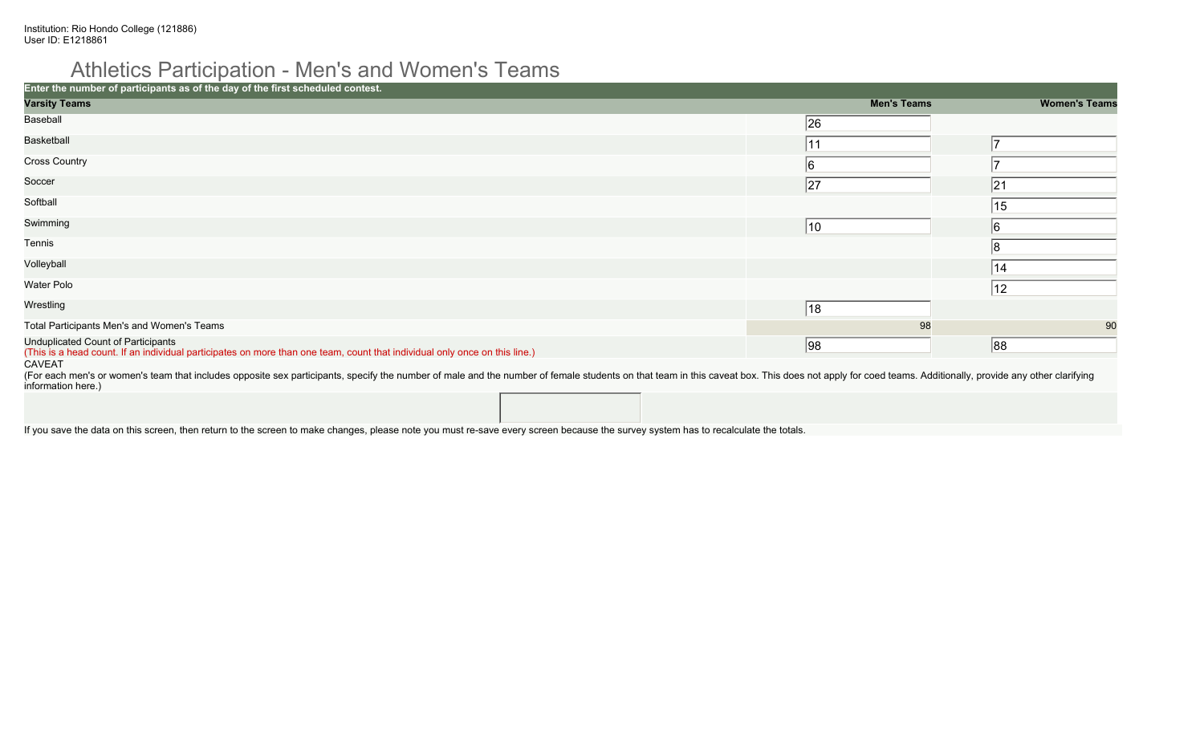#### Athletics Participation - Men's and Women's Teams

| Enter the number of participants as of the day of the first scheduled contest.                                                                                          |                    |                      |
|-------------------------------------------------------------------------------------------------------------------------------------------------------------------------|--------------------|----------------------|
| <b>Varsity Teams</b>                                                                                                                                                    | <b>Men's Teams</b> | <b>Women's Teams</b> |
| Baseball                                                                                                                                                                | 26                 |                      |
| Basketball                                                                                                                                                              | 11                 |                      |
| <b>Cross Country</b>                                                                                                                                                    | 16                 |                      |
| Soccer                                                                                                                                                                  | 27<br> 21          |                      |
| Softball                                                                                                                                                                | 15                 |                      |
| Swimming                                                                                                                                                                | $ 10\rangle$<br>16 |                      |
| Tennis                                                                                                                                                                  |                    |                      |
| Volleyball                                                                                                                                                              | 14                 |                      |
| Water Polo                                                                                                                                                              | 12                 |                      |
| Wrestling                                                                                                                                                               | 18                 |                      |
| Total Participants Men's and Women's Teams                                                                                                                              | 98                 | 90                   |
| <b>Unduplicated Count of Participants</b><br>(This is a head count. If an individual participates on more than one team, count that individual only once on this line.) | 98 <br>88          |                      |
| <b>CAVEAT</b>                                                                                                                                                           |                    |                      |

(For each men's or women's team that includes opposite sex participants, specify the number of male and the number of female students on that team in this caveat box. This does not apply for coed teams. Additionally, provi information here.)

If you save the data on this screen, then return to the screen to make changes, please note you must re-save every screen because the survey system has to recalculate the totals.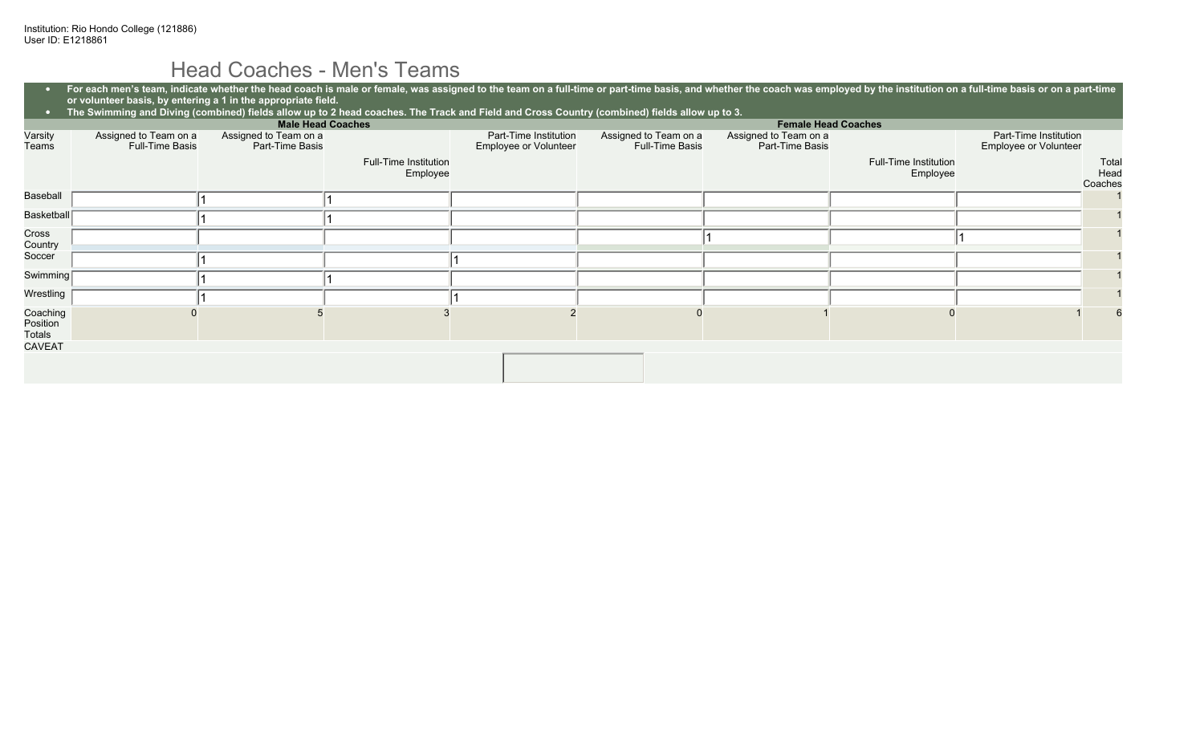#### Head Coaches - Men's Teams

| $\bullet$                      | For each men's team, indicate whether the head coach is male or female, was assigned to the team on a full-time or part-time basis, and whether the coach was employed by the institution on a full-time basis or on a part-ti<br>or volunteer basis, by entering a 1 in the appropriate field.<br>The Swimming and Diving (combined) fields allow up to 2 head coaches. The Track and Field and Cross Country (combined) fields allow up to 3. |                                          |                                   |                                                |                                                 |                                          |                                   |                                                |                          |
|--------------------------------|-------------------------------------------------------------------------------------------------------------------------------------------------------------------------------------------------------------------------------------------------------------------------------------------------------------------------------------------------------------------------------------------------------------------------------------------------|------------------------------------------|-----------------------------------|------------------------------------------------|-------------------------------------------------|------------------------------------------|-----------------------------------|------------------------------------------------|--------------------------|
| $\bullet$                      |                                                                                                                                                                                                                                                                                                                                                                                                                                                 |                                          |                                   |                                                |                                                 |                                          |                                   |                                                |                          |
|                                | <b>Male Head Coaches</b><br><b>Female Head Coaches</b>                                                                                                                                                                                                                                                                                                                                                                                          |                                          |                                   |                                                |                                                 |                                          |                                   |                                                |                          |
| Varsity<br>Teams               | Assigned to Team on a<br>Full-Time Basis                                                                                                                                                                                                                                                                                                                                                                                                        | Assigned to Team on a<br>Part-Time Basis |                                   | Part-Time Institution<br>Employee or Volunteer | Assigned to Team on a<br><b>Full-Time Basis</b> | Assigned to Team on a<br>Part-Time Basis |                                   | Part-Time Institution<br>Employee or Volunteer |                          |
|                                |                                                                                                                                                                                                                                                                                                                                                                                                                                                 |                                          | Full-Time Institution<br>Employee |                                                |                                                 |                                          | Full-Time Institution<br>Employee |                                                | Total<br>Head<br>Coaches |
| Baseball                       |                                                                                                                                                                                                                                                                                                                                                                                                                                                 |                                          |                                   |                                                |                                                 |                                          |                                   |                                                |                          |
| Basketball                     |                                                                                                                                                                                                                                                                                                                                                                                                                                                 |                                          |                                   |                                                |                                                 |                                          |                                   |                                                |                          |
| Cross<br>Country               |                                                                                                                                                                                                                                                                                                                                                                                                                                                 |                                          |                                   |                                                |                                                 |                                          |                                   |                                                |                          |
| Soccer                         |                                                                                                                                                                                                                                                                                                                                                                                                                                                 |                                          |                                   |                                                |                                                 |                                          |                                   |                                                |                          |
| Swimming                       |                                                                                                                                                                                                                                                                                                                                                                                                                                                 |                                          |                                   |                                                |                                                 |                                          |                                   |                                                |                          |
| Wrestling                      |                                                                                                                                                                                                                                                                                                                                                                                                                                                 |                                          |                                   |                                                |                                                 |                                          |                                   |                                                |                          |
| Coaching<br>Position<br>Totals |                                                                                                                                                                                                                                                                                                                                                                                                                                                 |                                          |                                   |                                                |                                                 |                                          |                                   |                                                |                          |
| <b>CAVEAT</b>                  |                                                                                                                                                                                                                                                                                                                                                                                                                                                 |                                          |                                   |                                                |                                                 |                                          |                                   |                                                |                          |
|                                |                                                                                                                                                                                                                                                                                                                                                                                                                                                 |                                          |                                   |                                                |                                                 |                                          |                                   |                                                |                          |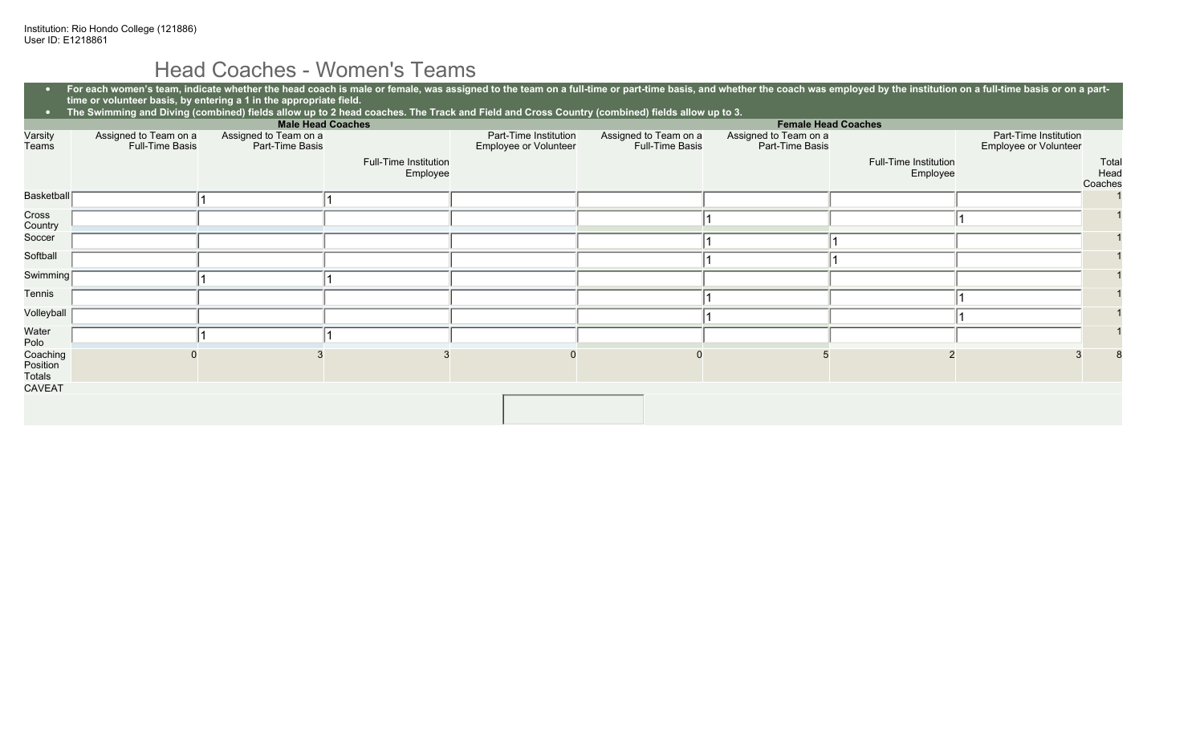### Head Coaches - Women's Teams

|                                |                                                 | <b>Male Head Coaches</b>                 |                                          |                                                |                                          | <b>Female Head Coaches</b>               |                                   |                                                |                          |
|--------------------------------|-------------------------------------------------|------------------------------------------|------------------------------------------|------------------------------------------------|------------------------------------------|------------------------------------------|-----------------------------------|------------------------------------------------|--------------------------|
| Varsity<br>Teams               | Assigned to Team on a<br><b>Full-Time Basis</b> | Assigned to Team on a<br>Part-Time Basis |                                          | Part-Time Institution<br>Employee or Volunteer | Assigned to Team on a<br>Full-Time Basis | Assigned to Team on a<br>Part-Time Basis |                                   | Part-Time Institution<br>Employee or Volunteer |                          |
|                                |                                                 |                                          | <b>Full-Time Institution</b><br>Employee |                                                |                                          |                                          | Full-Time Institution<br>Employee |                                                | Total<br>Head<br>Coaches |
| Basketball                     |                                                 |                                          |                                          |                                                |                                          |                                          |                                   |                                                |                          |
| Cross<br>Country               |                                                 |                                          |                                          |                                                |                                          |                                          |                                   |                                                |                          |
| Soccer                         |                                                 |                                          |                                          |                                                |                                          |                                          |                                   |                                                |                          |
| Softball                       |                                                 |                                          |                                          |                                                |                                          |                                          |                                   |                                                |                          |
| Swimming <sup>[</sup>          |                                                 |                                          |                                          |                                                |                                          |                                          |                                   |                                                |                          |
| Tennis                         |                                                 |                                          |                                          |                                                |                                          |                                          |                                   |                                                |                          |
| Volleyball                     |                                                 |                                          |                                          |                                                |                                          |                                          |                                   |                                                |                          |
| Water<br>Polo                  |                                                 |                                          |                                          |                                                |                                          |                                          |                                   |                                                |                          |
| Coaching<br>Position<br>Totals |                                                 |                                          |                                          |                                                |                                          |                                          |                                   |                                                |                          |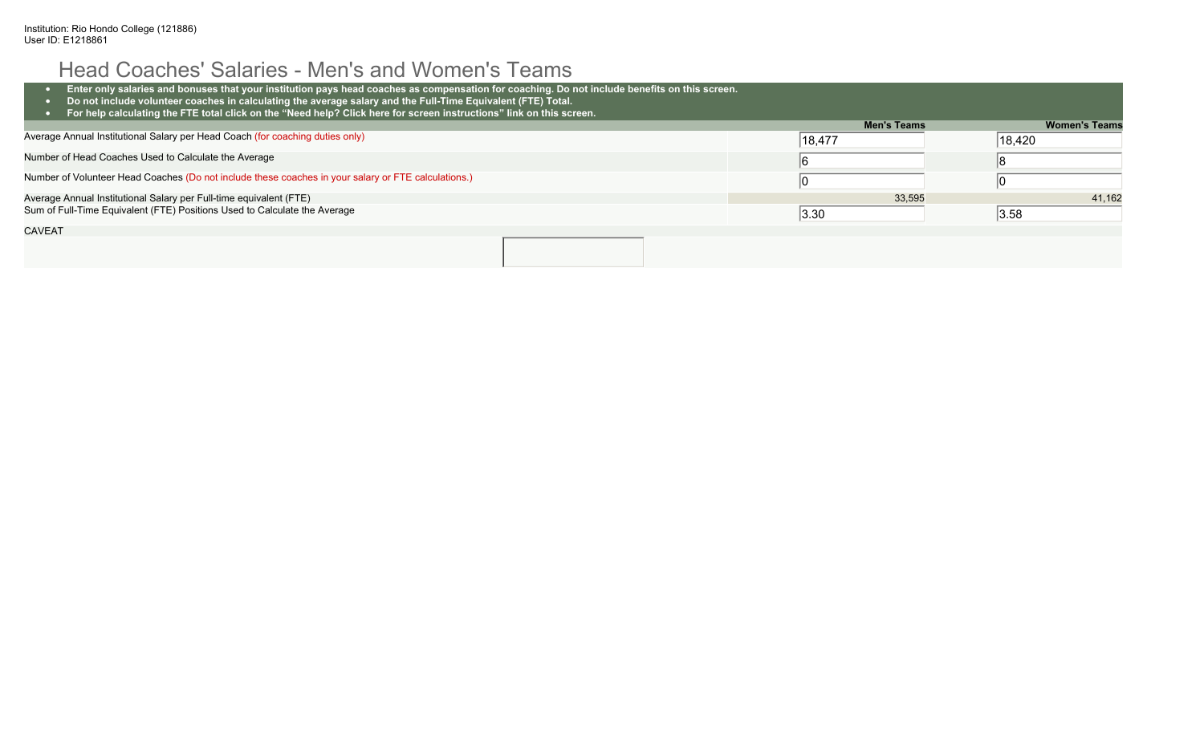# Head Coaches' Salaries - Men's and Women's Teams

| Enter only salaries and bonuses that your institution pays head coaches as compensation for coaching. Do not include benefits on this screen.<br>Do not include volunteer coaches in calculating the average salary and the Full-Time Equivalent (FTE) Total.<br>For help calculating the FTE total click on the "Need help? Click here for screen instructions" link on this screen. |                    |                      |
|---------------------------------------------------------------------------------------------------------------------------------------------------------------------------------------------------------------------------------------------------------------------------------------------------------------------------------------------------------------------------------------|--------------------|----------------------|
|                                                                                                                                                                                                                                                                                                                                                                                       | <b>Men's Teams</b> | <b>Women's Teams</b> |
| Average Annual Institutional Salary per Head Coach (for coaching duties only)                                                                                                                                                                                                                                                                                                         | 18,477             | 18,420               |
| Number of Head Coaches Used to Calculate the Average                                                                                                                                                                                                                                                                                                                                  |                    |                      |
| Number of Volunteer Head Coaches (Do not include these coaches in your salary or FTE calculations.)                                                                                                                                                                                                                                                                                   |                    |                      |
| Average Annual Institutional Salary per Full-time equivalent (FTE)                                                                                                                                                                                                                                                                                                                    | 33,595             | 41,162               |
| Sum of Full-Time Equivalent (FTE) Positions Used to Calculate the Average                                                                                                                                                                                                                                                                                                             | 3.30               | 3.58                 |
| <b>CAVEAT</b>                                                                                                                                                                                                                                                                                                                                                                         |                    |                      |
|                                                                                                                                                                                                                                                                                                                                                                                       |                    |                      |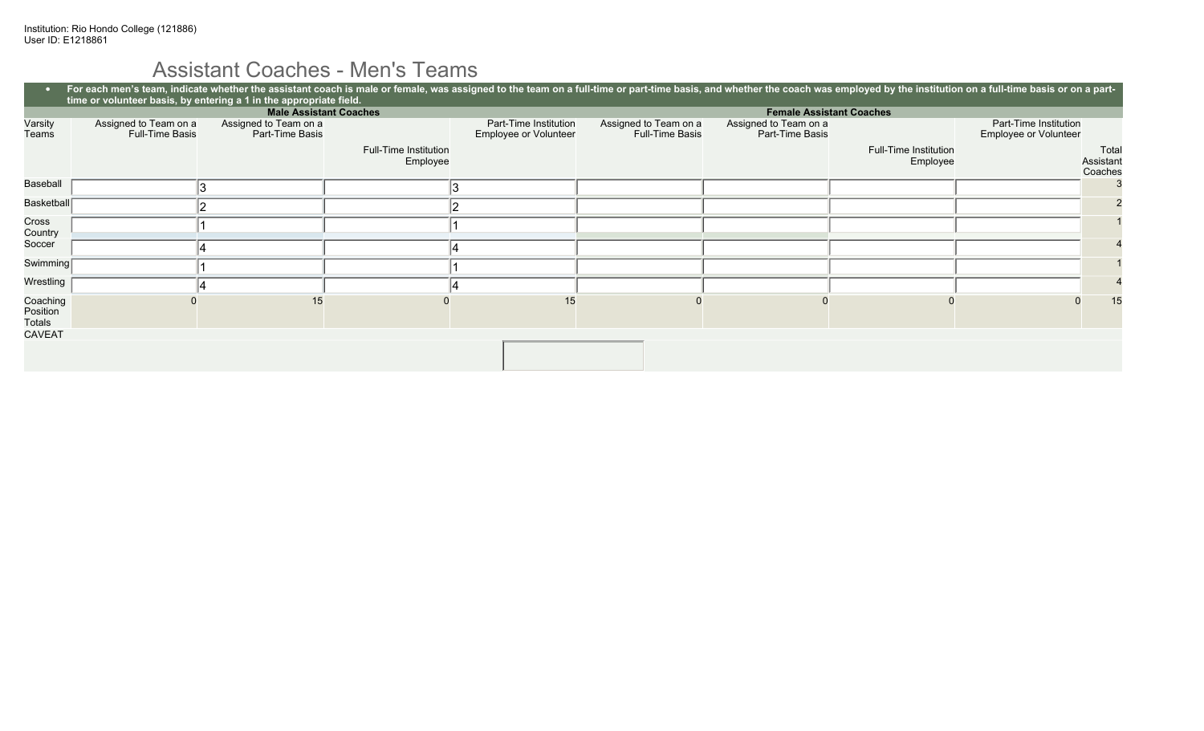# Assistant Coaches - Men's Teams

|                                |                                                 | time or volunteer basis, by entering a 1 in the appropriate field. |                                   |                                                       |                                                 | For each men's team, indicate whether the assistant coach is male or female, was assigned to the team on a full-time or part-time basis, and whether the coach was employed by the institution on a full-time basis or on a pa |                                   |                                                |                               |    |
|--------------------------------|-------------------------------------------------|--------------------------------------------------------------------|-----------------------------------|-------------------------------------------------------|-------------------------------------------------|--------------------------------------------------------------------------------------------------------------------------------------------------------------------------------------------------------------------------------|-----------------------------------|------------------------------------------------|-------------------------------|----|
|                                |                                                 | <b>Male Assistant Coaches</b>                                      |                                   |                                                       |                                                 | <b>Female Assistant Coaches</b>                                                                                                                                                                                                |                                   |                                                |                               |    |
| Varsity<br>Teams               | Assigned to Team on a<br><b>Full-Time Basis</b> | Assigned to Team on a<br>Part-Time Basis                           |                                   | Part-Time Institution<br><b>Employee or Volunteer</b> | Assigned to Team on a<br><b>Full-Time Basis</b> | Assigned to Team on a<br>Part-Time Basis                                                                                                                                                                                       |                                   | Part-Time Institution<br>Employee or Volunteer |                               |    |
|                                |                                                 |                                                                    | Full-Time Institution<br>Employee |                                                       |                                                 |                                                                                                                                                                                                                                | Full-Time Institution<br>Employee |                                                | Total<br>Assistant<br>Coaches |    |
| Baseball                       |                                                 | Ι3                                                                 |                                   |                                                       |                                                 |                                                                                                                                                                                                                                |                                   |                                                |                               |    |
| Basketball                     |                                                 |                                                                    |                                   |                                                       |                                                 |                                                                                                                                                                                                                                |                                   |                                                |                               |    |
| Cross<br>Country               |                                                 |                                                                    |                                   |                                                       |                                                 |                                                                                                                                                                                                                                |                                   |                                                |                               |    |
| Soccer                         |                                                 |                                                                    |                                   |                                                       |                                                 |                                                                                                                                                                                                                                |                                   |                                                |                               |    |
| Swimming                       |                                                 |                                                                    |                                   |                                                       |                                                 |                                                                                                                                                                                                                                |                                   |                                                |                               |    |
| Wrestling /                    |                                                 |                                                                    |                                   |                                                       |                                                 |                                                                                                                                                                                                                                |                                   |                                                |                               |    |
| Coaching<br>Position<br>Totals |                                                 | 15                                                                 |                                   | 15                                                    |                                                 |                                                                                                                                                                                                                                |                                   |                                                |                               | 15 |
| <b>CAVEAT</b>                  |                                                 |                                                                    |                                   |                                                       |                                                 |                                                                                                                                                                                                                                |                                   |                                                |                               |    |
|                                |                                                 |                                                                    |                                   |                                                       |                                                 |                                                                                                                                                                                                                                |                                   |                                                |                               |    |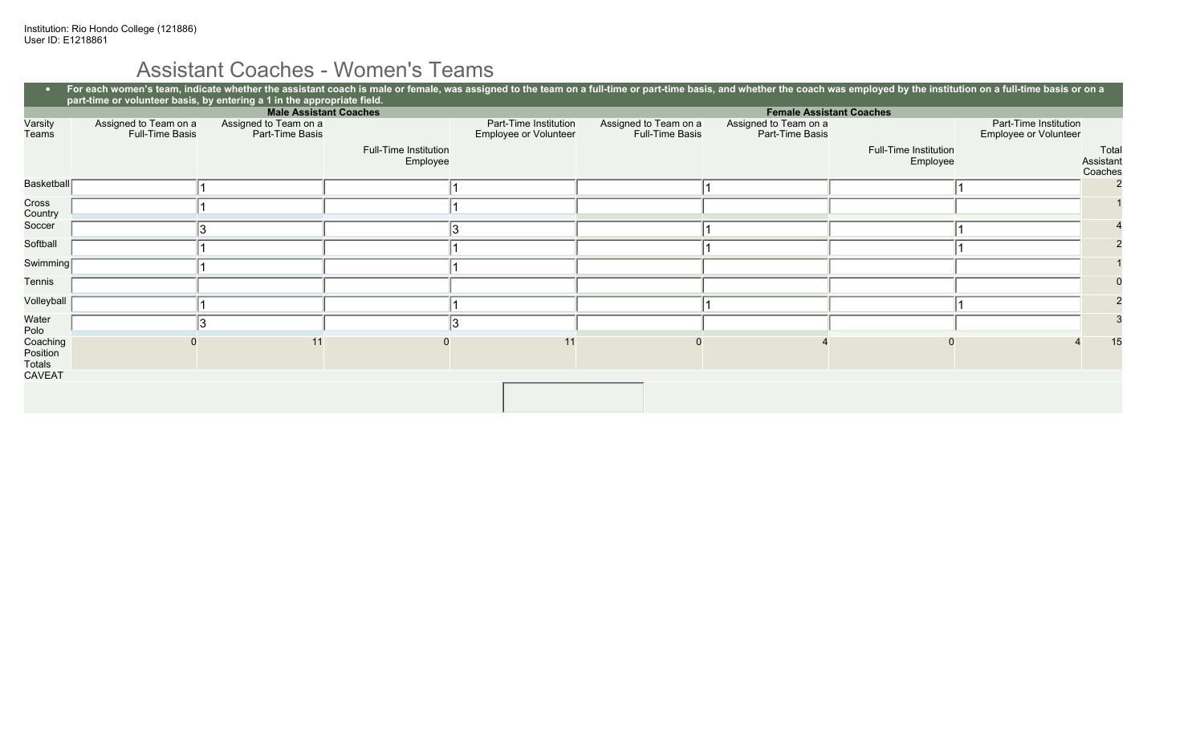# Assistant Coaches - Women's Teams

|                                       | For each women's team, indicate whether the assistant coach is male or female, was assigned to the team on a full-time or part-time basis, and whether the coach was employed by the institution on a full-time basis or on a<br>part-time or volunteer basis, by entering a 1 in the appropriate field. |                                          |                                   |                                                |                                                 |                                          |                                   |                                                |                               |
|---------------------------------------|----------------------------------------------------------------------------------------------------------------------------------------------------------------------------------------------------------------------------------------------------------------------------------------------------------|------------------------------------------|-----------------------------------|------------------------------------------------|-------------------------------------------------|------------------------------------------|-----------------------------------|------------------------------------------------|-------------------------------|
|                                       |                                                                                                                                                                                                                                                                                                          |                                          | <b>Male Assistant Coaches</b>     |                                                |                                                 |                                          | <b>Female Assistant Coaches</b>   |                                                |                               |
| Varsity<br>Teams                      | Assigned to Team on a<br>Full-Time Basis                                                                                                                                                                                                                                                                 | Assigned to Team on a<br>Part-Time Basis |                                   | Part-Time Institution<br>Employee or Volunteer | Assigned to Team on a<br><b>Full-Time Basis</b> | Assigned to Team on a<br>Part-Time Basis |                                   | Part-Time Institution<br>Employee or Volunteer |                               |
|                                       |                                                                                                                                                                                                                                                                                                          |                                          | Full-Time Institution<br>Employee |                                                |                                                 |                                          | Full-Time Institution<br>Employee |                                                | Total<br>Assistant<br>Coaches |
| Basketball                            |                                                                                                                                                                                                                                                                                                          |                                          |                                   |                                                |                                                 |                                          |                                   |                                                |                               |
| Cross<br>Country                      |                                                                                                                                                                                                                                                                                                          |                                          |                                   |                                                |                                                 |                                          |                                   |                                                |                               |
| Soccer                                |                                                                                                                                                                                                                                                                                                          |                                          |                                   |                                                |                                                 |                                          |                                   |                                                |                               |
| Softball                              |                                                                                                                                                                                                                                                                                                          |                                          |                                   |                                                |                                                 |                                          |                                   |                                                |                               |
| Swimming <sup>[</sup>                 |                                                                                                                                                                                                                                                                                                          |                                          |                                   |                                                |                                                 |                                          |                                   |                                                |                               |
| Tennis                                |                                                                                                                                                                                                                                                                                                          |                                          |                                   |                                                |                                                 |                                          |                                   |                                                |                               |
| Volleyball                            |                                                                                                                                                                                                                                                                                                          |                                          |                                   |                                                |                                                 |                                          |                                   |                                                |                               |
| Water<br>Polo                         |                                                                                                                                                                                                                                                                                                          |                                          |                                   |                                                |                                                 |                                          |                                   |                                                |                               |
| Coaching<br>Position<br><b>Totals</b> |                                                                                                                                                                                                                                                                                                          |                                          |                                   |                                                |                                                 |                                          |                                   |                                                | 15                            |
| <b>CAVEAT</b>                         |                                                                                                                                                                                                                                                                                                          |                                          |                                   |                                                |                                                 |                                          |                                   |                                                |                               |
|                                       |                                                                                                                                                                                                                                                                                                          |                                          |                                   |                                                |                                                 |                                          |                                   |                                                |                               |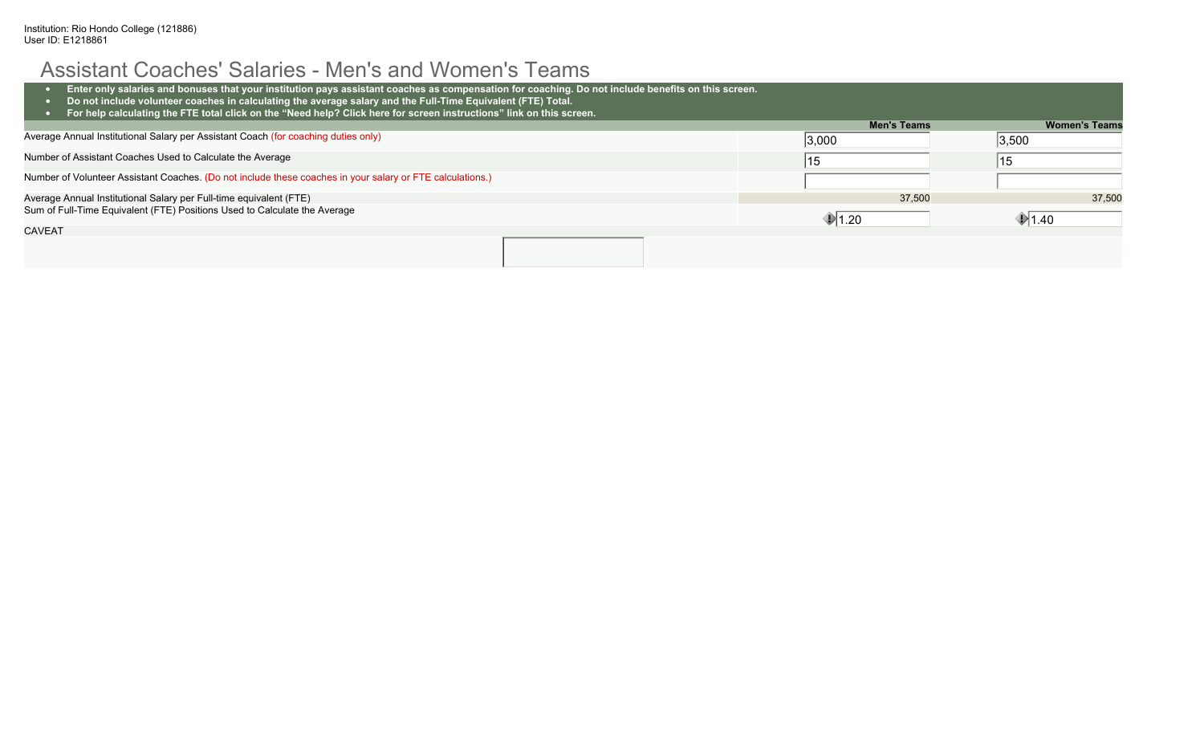#### Assistant Coaches' Salaries - Men's and Women's Teams

| Enter only salaries and bonuses that your institution pays assistant coaches as compensation for coaching. Do not include benefits on this screen.<br>Do not include volunteer coaches in calculating the average salary and the Full-Time Equivalent (FTE) Total. |                    |                      |
|--------------------------------------------------------------------------------------------------------------------------------------------------------------------------------------------------------------------------------------------------------------------|--------------------|----------------------|
| For help calculating the FTE total click on the "Need help? Click here for screen instructions" link on this screen.                                                                                                                                               |                    |                      |
|                                                                                                                                                                                                                                                                    | <b>Men's Teams</b> | <b>Women's Teams</b> |
| Average Annual Institutional Salary per Assistant Coach (for coaching duties only)                                                                                                                                                                                 | 3,000              | 3,500                |
| Number of Assistant Coaches Used to Calculate the Average                                                                                                                                                                                                          | 15                 | 15                   |
| Number of Volunteer Assistant Coaches. (Do not include these coaches in your salary or FTE calculations.)                                                                                                                                                          |                    |                      |
| Average Annual Institutional Salary per Full-time equivalent (FTE)                                                                                                                                                                                                 | 37,500             | 37.500               |
| Sum of Full-Time Equivalent (FTE) Positions Used to Calculate the Average                                                                                                                                                                                          | $\P$ 1.20          | $\P$ 1.40            |
| <b>CAVEAT</b>                                                                                                                                                                                                                                                      |                    |                      |
|                                                                                                                                                                                                                                                                    |                    |                      |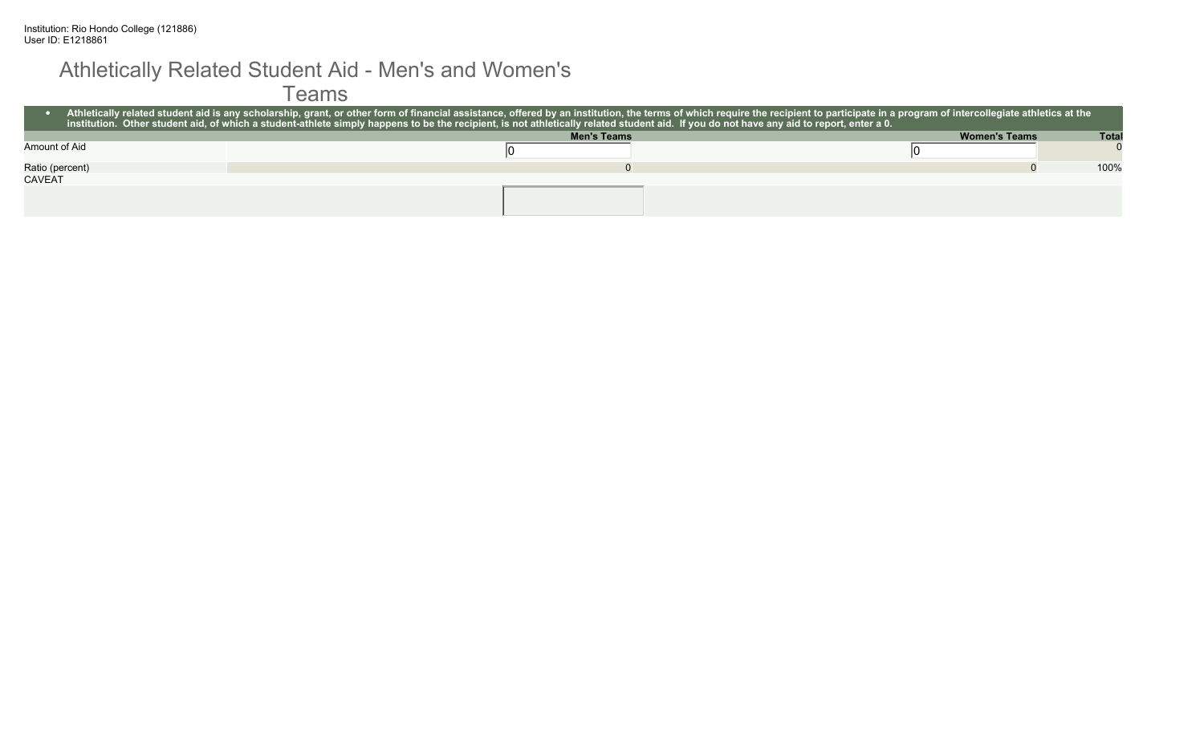#### Athletically Related Student Aid - Men's and Women's

Teams

|                 | Athletically related student aid is any scholarship, grant, or other form of financial assistance, offered by an institution, the terms of which require the recipient to participate in a program of intercollegiate athletic<br>∣ institution. Other student aid, of which a student-athlete simply happens to be the recipient, is not athletically related student aid. If <u>you do not have any aid to report, enter a 0.</u> |                      |              |
|-----------------|-------------------------------------------------------------------------------------------------------------------------------------------------------------------------------------------------------------------------------------------------------------------------------------------------------------------------------------------------------------------------------------------------------------------------------------|----------------------|--------------|
|                 | <b>Men's Teams</b>                                                                                                                                                                                                                                                                                                                                                                                                                  | <b>Women's Teams</b> | <b>Total</b> |
| Amount of Aid   |                                                                                                                                                                                                                                                                                                                                                                                                                                     |                      |              |
| Ratio (percent) |                                                                                                                                                                                                                                                                                                                                                                                                                                     |                      | 100%         |
| <b>CAVEAT</b>   |                                                                                                                                                                                                                                                                                                                                                                                                                                     |                      |              |
|                 |                                                                                                                                                                                                                                                                                                                                                                                                                                     |                      |              |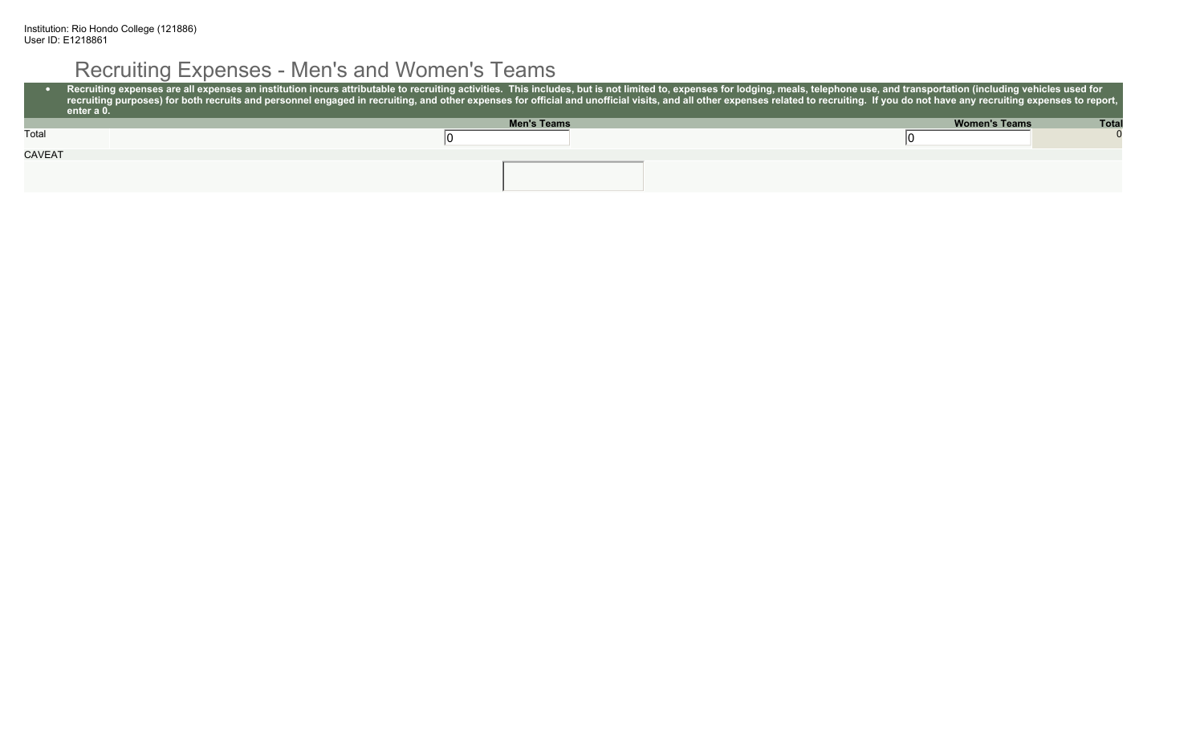# Recruiting Expenses - Men's and Women's Teams

|               | Recruiting expenses are all expenses an institution incurs attributable to recruiting activities. This includes, but is not limited to, expenses for lodging, meals, telephone use, and transportation (including vehicles use<br>recruiting purposes) for both recruits and personnel engaged in recruiting, and other expenses for official and unofficial visits, and all other expenses related to recruiting. If you do not have any recruiting expenses to<br>enter a 0. |                                      |
|---------------|--------------------------------------------------------------------------------------------------------------------------------------------------------------------------------------------------------------------------------------------------------------------------------------------------------------------------------------------------------------------------------------------------------------------------------------------------------------------------------|--------------------------------------|
|               | <b>Men's Teams</b>                                                                                                                                                                                                                                                                                                                                                                                                                                                             | <b>Total</b><br><b>Women's Teams</b> |
| Total         |                                                                                                                                                                                                                                                                                                                                                                                                                                                                                |                                      |
| <b>CAVEAT</b> |                                                                                                                                                                                                                                                                                                                                                                                                                                                                                |                                      |
|               |                                                                                                                                                                                                                                                                                                                                                                                                                                                                                |                                      |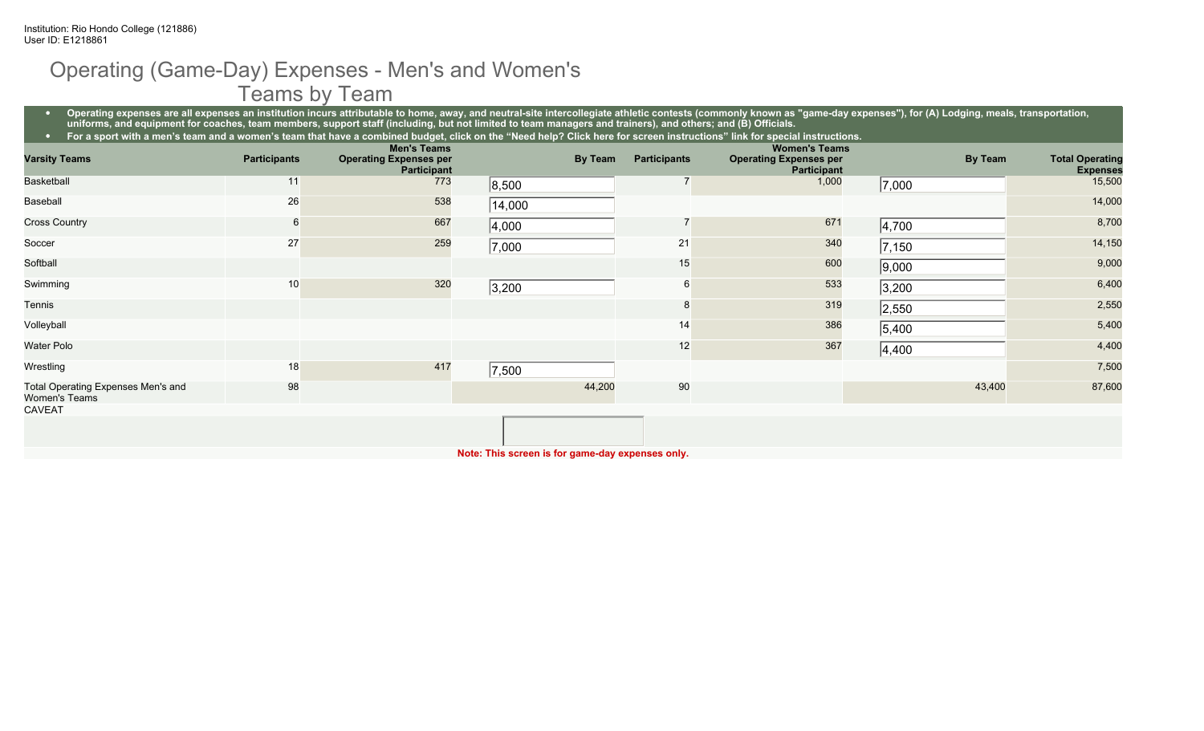#### Operating (Game-Day) Expenses - Men's and Women's Teams by Team

• Operating expenses are all expenses an institution incurs attributable to home, away, and neutral-site intercollegiate athletic contests (commonly known as "game-day expenses"), for (A) Lodging, meals, transportation, **uniforms, and equipment for coaches, team members, support staff (including, but not limited to team managers and trainers), and others; and (B) Officials.**

|                                                            |                     |                                                     | For a sport with a men's team and a women's team that have a combined budget, click on the "Need help? Click here for screen instructions" link for special instructions. |                     |                                                     |                |                        |
|------------------------------------------------------------|---------------------|-----------------------------------------------------|---------------------------------------------------------------------------------------------------------------------------------------------------------------------------|---------------------|-----------------------------------------------------|----------------|------------------------|
|                                                            | <b>Participants</b> | <b>Men's Teams</b>                                  | By Team                                                                                                                                                                   | <b>Participants</b> | <b>Women's Teams</b>                                | <b>By Team</b> | <b>Total Operating</b> |
| <b>Varsity Teams</b>                                       |                     | <b>Operating Expenses per</b><br><b>Participant</b> |                                                                                                                                                                           |                     | <b>Operating Expenses per</b><br><b>Participant</b> |                | <b>Expenses</b>        |
| Basketball                                                 | 11                  | 773                                                 | 8,500                                                                                                                                                                     |                     | 1,000                                               | 7,000          | 15,500                 |
| Baseball                                                   | 26                  | 538                                                 | 14,000                                                                                                                                                                    |                     |                                                     |                | 14,000                 |
| <b>Cross Country</b>                                       | 6                   | 667                                                 | 4,000                                                                                                                                                                     |                     | 671                                                 | 4,700          | 8,700                  |
| Soccer                                                     | 27                  | 259                                                 | 7,000                                                                                                                                                                     | 21                  | 340                                                 | 7,150          | 14,150                 |
| Softball                                                   |                     |                                                     |                                                                                                                                                                           | 15                  | 600                                                 | 9,000          | 9,000                  |
| Swimming                                                   | 10                  | 320                                                 | 3,200                                                                                                                                                                     |                     | 533                                                 | 3,200          | 6,400                  |
| Tennis                                                     |                     |                                                     |                                                                                                                                                                           |                     | 319                                                 | 2,550          | 2,550                  |
| Volleyball                                                 |                     |                                                     |                                                                                                                                                                           | 14                  | 386                                                 | 5,400          | 5,400                  |
| <b>Water Polo</b>                                          |                     |                                                     |                                                                                                                                                                           | 12                  | 367                                                 | 4,400          | 4,400                  |
| Wrestling                                                  | 18                  | 417                                                 | 7,500                                                                                                                                                                     |                     |                                                     |                | 7,500                  |
| Total Operating Expenses Men's and<br><b>Women's Teams</b> | 98                  |                                                     | 44,200                                                                                                                                                                    | 90                  |                                                     | 43,400         | 87,600                 |
| <b>CAVEAT</b>                                              |                     |                                                     |                                                                                                                                                                           |                     |                                                     |                |                        |
|                                                            |                     |                                                     |                                                                                                                                                                           |                     |                                                     |                |                        |

**Note: This screen is for game-day expenses only.**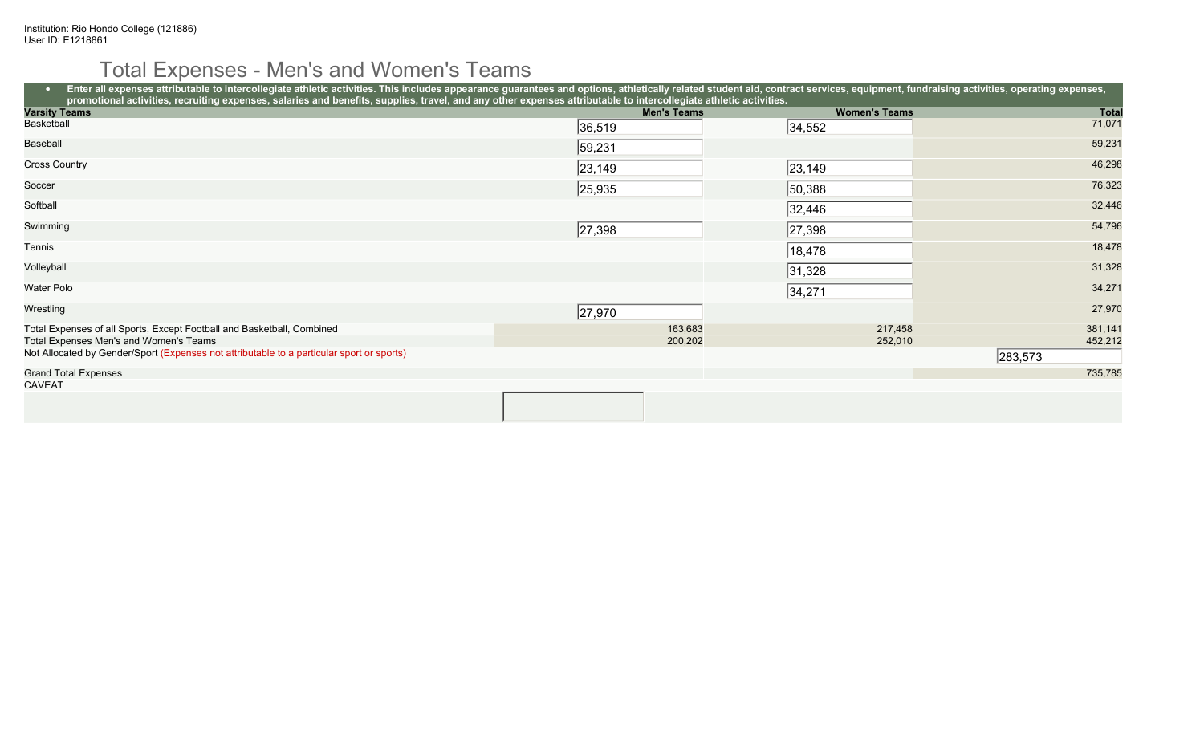# Total Expenses - Men's and Women's Teams

| Enter all expenses attributable to intercollegiate athletic activities. This includes appearance guarantees and options, athletically related student aid, contract services, equipment, fundraising activities, operating exp<br>promotional activities, recruiting expenses, salaries and benefits, supplies, travel, and any other expenses attributable to intercollegiate athletic activities. |                    |                      |              |  |  |  |  |  |
|-----------------------------------------------------------------------------------------------------------------------------------------------------------------------------------------------------------------------------------------------------------------------------------------------------------------------------------------------------------------------------------------------------|--------------------|----------------------|--------------|--|--|--|--|--|
| <b>Varsity Teams</b>                                                                                                                                                                                                                                                                                                                                                                                | <b>Men's Teams</b> | <b>Women's Teams</b> | <b>Total</b> |  |  |  |  |  |
| Basketball                                                                                                                                                                                                                                                                                                                                                                                          | 36,519             | 34,552               | 71,071       |  |  |  |  |  |
| Baseball                                                                                                                                                                                                                                                                                                                                                                                            | 59,231             |                      | 59,231       |  |  |  |  |  |
| <b>Cross Country</b>                                                                                                                                                                                                                                                                                                                                                                                | 23, 149            | 23, 149              | 46,298       |  |  |  |  |  |
| Soccer                                                                                                                                                                                                                                                                                                                                                                                              | 25,935             | 50,388               | 76,323       |  |  |  |  |  |
| Softball                                                                                                                                                                                                                                                                                                                                                                                            |                    | 32,446               | 32,446       |  |  |  |  |  |
| Swimming                                                                                                                                                                                                                                                                                                                                                                                            | 27,398             | 27,398               | 54,796       |  |  |  |  |  |
| Tennis                                                                                                                                                                                                                                                                                                                                                                                              |                    | 18,478               | 18,478       |  |  |  |  |  |
| Volleyball                                                                                                                                                                                                                                                                                                                                                                                          |                    | 31,328               | 31,328       |  |  |  |  |  |
| Water Polo                                                                                                                                                                                                                                                                                                                                                                                          |                    | 34,271               | 34,271       |  |  |  |  |  |
| Wrestling                                                                                                                                                                                                                                                                                                                                                                                           | 27,970             |                      | 27,970       |  |  |  |  |  |
| Total Expenses of all Sports, Except Football and Basketball, Combined                                                                                                                                                                                                                                                                                                                              | 163,683            | 217,458              | 381,141      |  |  |  |  |  |
| Total Expenses Men's and Women's Teams                                                                                                                                                                                                                                                                                                                                                              | 200,202            | 252,010              | 452,212      |  |  |  |  |  |
| Not Allocated by Gender/Sport (Expenses not attributable to a particular sport or sports)                                                                                                                                                                                                                                                                                                           |                    |                      | 283,573      |  |  |  |  |  |
| <b>Grand Total Expenses</b>                                                                                                                                                                                                                                                                                                                                                                         |                    |                      | 735,785      |  |  |  |  |  |
| <b>CAVEAT</b>                                                                                                                                                                                                                                                                                                                                                                                       |                    |                      |              |  |  |  |  |  |
|                                                                                                                                                                                                                                                                                                                                                                                                     |                    |                      |              |  |  |  |  |  |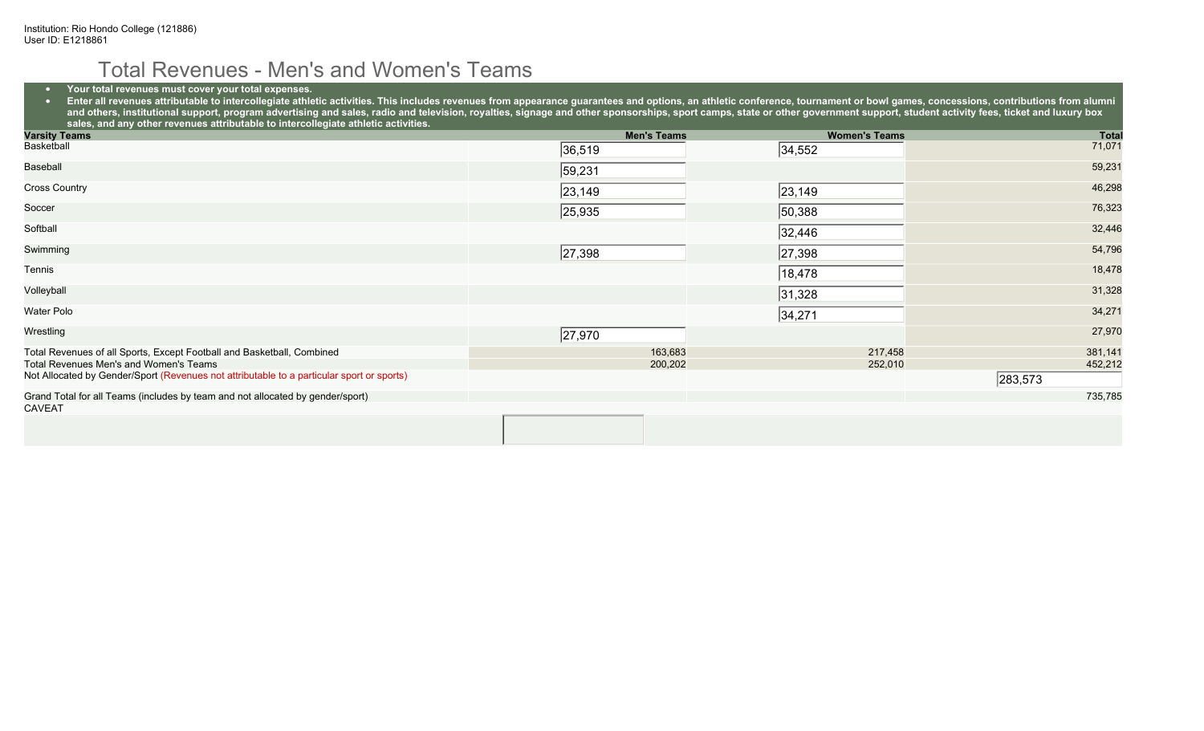#### Total Revenues - Men's and Women's Teams

#### • **Your total revenues must cover your total expenses.**

● Enter all revenues attributable to intercollegiate athletic activities. This includes revenues from appearance guarantees and options, an athletic conference, tournament or bowl games, concessions, contributions from a and others, institutional support, program advertising and sales, radio and television, royalties, signage and other sponsorships, sport camps, state or other government support, student activity fees, ticket and luxury bo **sales, and any other revenues attributable to intercollegiate athletic activities.**

| <b>Varsity Teams</b>                                                                      | <b>Men's Teams</b> | <b>Women's Teams</b> | <b>Total</b> |
|-------------------------------------------------------------------------------------------|--------------------|----------------------|--------------|
| Basketball                                                                                | 36,519             | 34,552               | 71,071       |
| Baseball                                                                                  | 59,231             |                      | 59,231       |
| Cross Country                                                                             | 23, 149            | 23, 149              | 46,298       |
| Soccer                                                                                    | 25,935             | 50,388               | 76,323       |
| Softball                                                                                  |                    | 32,446               | 32,446       |
| Swimming                                                                                  | 27,398             | 27,398               | 54,796       |
| Tennis                                                                                    |                    | 18,478               | 18,478       |
| Volleyball                                                                                |                    | 31,328               | 31,328       |
| Water Polo                                                                                |                    | 34,271               | 34,271       |
| Wrestling                                                                                 | 27,970             |                      | 27,970       |
| Total Revenues of all Sports, Except Football and Basketball, Combined                    | 163,683            | 217,458              | 381,141      |
| Total Revenues Men's and Women's Teams                                                    | 200,202            | 252,010              | 452,212      |
| Not Allocated by Gender/Sport (Revenues not attributable to a particular sport or sports) |                    |                      | 283,573      |
| Grand Total for all Teams (includes by team and not allocated by gender/sport)            |                    |                      | 735,785      |
| <b>CAVEAT</b>                                                                             |                    |                      |              |
|                                                                                           |                    |                      |              |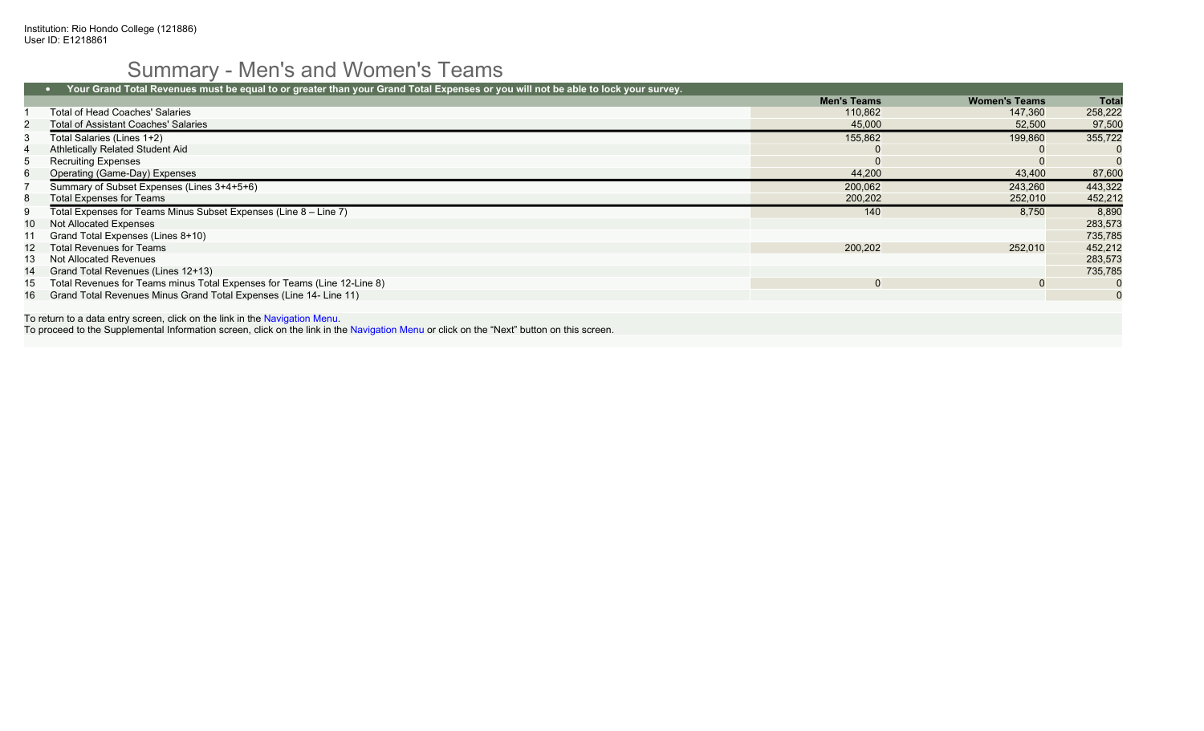# Summary - Men's and Women's Teams

|     | Your Grand Total Revenues must be equal to or greater than your Grand Total Expenses or you will not be able to lock your survey. |                    |                      |              |  |  |
|-----|-----------------------------------------------------------------------------------------------------------------------------------|--------------------|----------------------|--------------|--|--|
|     |                                                                                                                                   | <b>Men's Teams</b> | <b>Women's Teams</b> | Total        |  |  |
|     | Total of Head Coaches' Salaries                                                                                                   | 110.862            | 147.360              | 258,222      |  |  |
|     | <b>Total of Assistant Coaches' Salaries</b>                                                                                       | 45,000             | 52,500               | 97,500       |  |  |
|     | Total Salaries (Lines 1+2)                                                                                                        | 155,862            | 199,860              | 355,722      |  |  |
|     | Athletically Related Student Aid                                                                                                  |                    |                      |              |  |  |
|     | <b>Recruiting Expenses</b>                                                                                                        |                    |                      |              |  |  |
| 6   | Operating (Game-Day) Expenses                                                                                                     | 44,200             | 43,400               | 87,600       |  |  |
|     | Summary of Subset Expenses (Lines 3+4+5+6)                                                                                        | 200,062            | 243,260              | 443,322      |  |  |
| 8   | <b>Total Expenses for Teams</b>                                                                                                   | 200,202            | 252,010              | 452,212      |  |  |
| 9   | Total Expenses for Teams Minus Subset Expenses (Line 8 – Line 7)                                                                  | 140                | 8,750                | 8,890        |  |  |
|     | Not Allocated Expenses                                                                                                            |                    |                      | 283,573      |  |  |
| 11  | Grand Total Expenses (Lines 8+10)                                                                                                 |                    |                      | 735,785      |  |  |
|     | 12 Total Revenues for Teams                                                                                                       | 200.202            | 252,010              | 452,212      |  |  |
| 13. | Not Allocated Revenues                                                                                                            |                    |                      | 283,573      |  |  |
| 14  | Grand Total Revenues (Lines 12+13)                                                                                                |                    |                      | 735,785      |  |  |
| 15  | Total Revenues for Teams minus Total Expenses for Teams (Line 12-Line 8)                                                          |                    |                      | $\mathbf{0}$ |  |  |
| 16  | Grand Total Revenues Minus Grand Total Expenses (Line 14- Line 11)                                                                |                    |                      | $\mathbf{0}$ |  |  |

To return to a data entry screen, click on the link in the Navigation Menu.

To proceed to the Supplemental Information screen, click on the link in the Navigation Menu or click on the "Next" button on this screen.